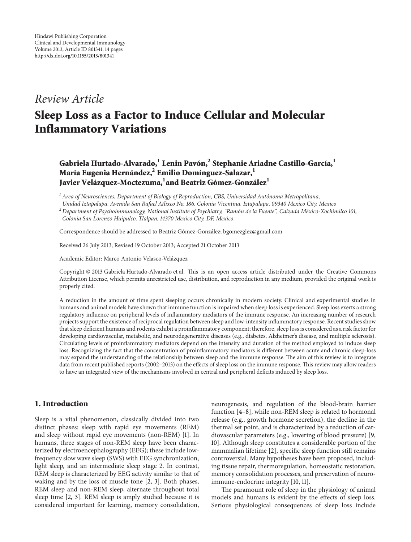# *Review Article*

# **Sleep Loss as a Factor to Induce Cellular and Molecular Inflammatory Variations**

## **Gabriela Hurtado-Alvarado,1 Lenin Pavón,2 Stephanie Ariadne Castillo-García,1 María Eugenia Hernández,<sup>2</sup> Emilio Domínguez-Salazar,1** Javier Velázquez-Moctezuma, <sup>1</sup>and Beatriz Gómez-González <sup>1</sup>

*<sup>1</sup> Area of Neurosciences, Department of Biology of Reproduction, CBS, Universidad Autonoma Metropolitana, ´*

*Unidad Iztapalapa, Avenida San Rafael Atlixco No. 186, Colonia Vicentina, Iztapalapa, 09340 Mexico City, Mexico*

*<sup>2</sup> Department of Psychoimmunology, National Institute of Psychiatry, "Ramon de la Fuente", Calzada M ´ exico-Xochimilco 101, ´ Colonia San Lorenzo Huipulco, Tlalpan, 14370 Mexico City, DF, Mexico*

Correspondence should be addressed to Beatriz Gómez-González; bgomezglez@gmail.com

Received 26 July 2013; Revised 19 October 2013; Accepted 21 October 2013

Academic Editor: Marco Antonio Velasco-Velázquez

Copyright © 2013 Gabriela Hurtado-Alvarado et al. This is an open access article distributed under the Creative Commons Attribution License, which permits unrestricted use, distribution, and reproduction in any medium, provided the original work is properly cited.

A reduction in the amount of time spent sleeping occurs chronically in modern society. Clinical and experimental studies in humans and animal models have shown that immune function is impaired when sleep loss is experienced. Sleep loss exerts a strong regulatory influence on peripheral levels of inflammatory mediators of the immune response. An increasing number of research projects support the existence of reciprocal regulation between sleep and low-intensity inflammatory response. Recent studies show that sleep deficient humans and rodents exhibit a proinflammatory component; therefore, sleep loss is considered as a risk factor for developing cardiovascular, metabolic, and neurodegenerative diseases (e.g., diabetes, Alzheimer's disease, and multiple sclerosis). Circulating levels of proinflammatory mediators depend on the intensity and duration of the method employed to induce sleep loss. Recognizing the fact that the concentration of proinflammatory mediators is different between acute and chronic sleep-loss may expand the understanding of the relationship between sleep and the immune response. The aim of this review is to integrate data from recent published reports (2002–2013) on the effects of sleep loss on the immune response. This review may allow readers to have an integrated view of the mechanisms involved in central and peripheral deficits induced by sleep loss.

#### **1. Introduction**

Sleep is a vital phenomenon, classically divided into two distinct phases: sleep with rapid eye movements (REM) and sleep without rapid eye movements (non-REM) [\[1](#page-10-1)]. In humans, three stages of non-REM sleep have been characterized by electroencephalography (EEG); these include lowfrequency slow wave sleep (SWS) with EEG synchronization, light sleep, and an intermediate sleep stage 2. In contrast, REM sleep is characterized by EEG activity similar to that of waking and by the loss of muscle tone [\[2,](#page-10-2) [3](#page-10-3)]. Both phases, REM sleep and non-REM sleep, alternate throughout total sleep time [\[2,](#page-10-2) [3\]](#page-10-3). REM sleep is amply studied because it is considered important for learning, memory consolidation, neurogenesis, and regulation of the blood-brain barrier function [\[4](#page-10-4)[–8\]](#page-10-5), while non-REM sleep is related to hormonal release (e.g., growth hormone secretion), the decline in the thermal set point, and is characterized by a reduction of cardiovascular parameters (e.g., lowering of blood pressure) [\[9](#page-10-6), [10\]](#page-10-7). Although sleep constitutes a considerable portion of the mammalian lifetime [\[2](#page-10-2)], specific sleep function still remains controversial. Many hypotheses have been proposed, including tissue repair, thermoregulation, homeostatic restoration, memory consolidation processes, and preservation of neuroimmune-endocrine integrity [\[10](#page-10-7), [11\]](#page-10-8).

The paramount role of sleep in the physiology of animal models and humans is evident by the effects of sleep loss. Serious physiological consequences of sleep loss include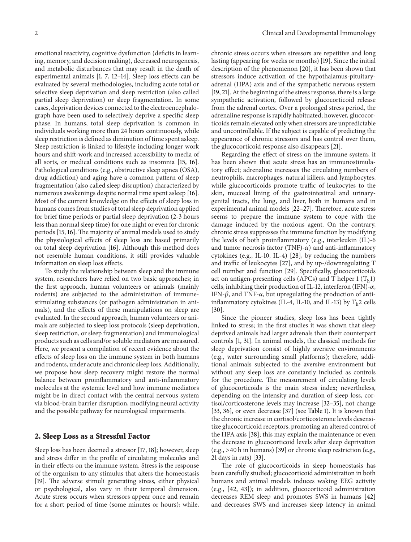emotional reactivity, cognitive dysfunction (deficits in learning, memory, and decision making), decreased neurogenesis, and metabolic disturbances that may result in the death of experimental animals [\[1,](#page-10-1) [7,](#page-10-9) [12](#page-10-10)[–14\]](#page-10-11). Sleep loss effects can be evaluated by several methodologies, including acute total or selective sleep deprivation and sleep restriction (also called partial sleep deprivation) or sleep fragmentation. In some cases, deprivation devices connected to the electroencephalograph have been used to selectively deprive a specific sleep phase. In humans, total sleep deprivation is common in individuals working more than 24 hours continuously, while sleep restriction is defined as diminution of time spent asleep. Sleep restriction is linked to lifestyle including longer work hours and shift-work and increased accessibility to media of all sorts, or medical conditions such as insomnia [\[15,](#page-10-12) [16\]](#page-10-13). Pathological conditions (e.g., obstructive sleep apnea (OSA), drug addiction) and aging have a common pattern of sleep fragmentation (also called sleep disruption) characterized by numerous awakenings despite normal time spent asleep [\[16\]](#page-10-13). Most of the current knowledge on the effects of sleep loss in humans comes from studies of total sleep deprivation applied for brief time periods or partial sleep deprivation (2-3 hours less than normal sleep time) for one night or even for chronic periods [\[15](#page-10-12), [16\]](#page-10-13). The majority of animal models used to study the physiological effects of sleep loss are based primarily on total sleep deprivation [\[16\]](#page-10-13). Although this method does not resemble human conditions, it still provides valuable information on sleep loss effects.

To study the relationship between sleep and the immune system, researchers have relied on two basic approaches; in the first approach, human volunteers or animals (mainly rodents) are subjected to the administration of immunestimulating substances (or pathogen administration in animals), and the effects of these manipulations on sleep are evaluated. In the second approach, human volunteers or animals are subjected to sleep loss protocols (sleep deprivation, sleep restriction, or sleep fragmentation) and immunological products such as cells and/or soluble mediators are measured. Here, we present a compilation of recent evidence about the effects of sleep loss on the immune system in both humans and rodents, under acute and chronic sleep loss. Additionally, we propose how sleep recovery might restore the normal balance between proinflammatory and anti-inflammatory molecules at the systemic level and how immune mediators might be in direct contact with the central nervous system via blood-brain barrier disruption, modifying neural activity and the possible pathway for neurological impairments.

#### **2. Sleep Loss as a Stressful Factor**

Sleep loss has been deemed a stressor [\[17,](#page-10-14) [18](#page-10-15)]; however, sleep and stress differ in the profile of circulating molecules and in their effects on the immune system. Stress is the response of the organism to any stimulus that alters the homeostasis [\[19](#page-10-16)]. The adverse stimuli generating stress, either physical or psychological, also vary in their temporal dimension. Acute stress occurs when stressors appear once and remain for a short period of time (some minutes or hours); while,

chronic stress occurs when stressors are repetitive and long lasting (appearing for weeks or months) [\[19\]](#page-10-16). Since the initial description of the phenomenon [\[20\]](#page-10-17), it has been shown that stressors induce activation of the hypothalamus-pituitaryadrenal (HPA) axis and of the sympathetic nervous system [\[19](#page-10-16), [21](#page-10-18)]. At the beginning of the stress response, there is a large sympathetic activation, followed by glucocorticoid release from the adrenal cortex. Over a prolonged stress period, the adrenaline response is rapidly habituated; however, glucocorticoids remain elevated only when stressors are unpredictable and uncontrollable. If the subject is capable of predicting the appearance of chronic stressors and has control over them, the glucocorticoid response also disappears [\[21](#page-10-18)].

Regarding the effect of stress on the immune system, it has been shown that acute stress has an immunostimulatory effect; adrenaline increases the circulating numbers of neutrophils, macrophages, natural killers, and lymphocytes, while glucocorticoids promote traffic of leukocytes to the skin, mucosal lining of the gastrointestinal and urinarygenital tracts, the lung, and liver, both in humans and in experimental animal models [\[22](#page-10-19)[–27](#page-11-0)]. Therefore, acute stress seems to prepare the immune system to cope with the damage induced by the noxious agent. On the contrary, chronic stress suppresses the immune function by modifying the levels of both proinflammatory (e.g., interleukin (IL)-6 and tumor necrosis factor (TNF)- $\alpha$ ) and anti-inflammatory cytokines (e.g., IL-10, IL-4) [\[28](#page-11-1)], by reducing the numbers and traffic of leukocytes [\[27](#page-11-0)], and by up-/downregulating T cell number and function [\[29\]](#page-11-2). Specifically, glucocorticoids act on antigen-presenting cells (APCs) and T helper  $1 (T_h 1)$ cells, inhibiting their production of IL-12, interferon (IFN)- $\alpha$ , IFN- $\beta$ , and TNF- $\alpha$ , but upregulating the production of antiinflammatory cytokines (IL-4, IL-10, and IL-13) by  $T_h$ 2 cells [\[30\]](#page-11-3).

Since the pioneer studies, sleep loss has been tightly linked to stress; in the first studies it was shown that sleep deprived animals had larger adrenals than their counterpart controls [\[1,](#page-10-1) [31\]](#page-11-4). In animal models, the classical methods for sleep deprivation consist of highly aversive environments (e.g., water surrounding small platforms); therefore, additional animals subjected to the aversive environment but without any sleep loss are constantly included as controls for the procedure. The measurement of circulating levels of glucocorticoids is the main stress index; nevertheless, depending on the intensity and duration of sleep loss, cortisol/corticosterone levels may increase [\[32](#page-11-5)[–35\]](#page-11-6), not change [\[33,](#page-11-7) [36](#page-11-8)], or even decrease [\[37](#page-11-9)] (see [Table 1\)](#page-2-0). It is known that the chronic increase in cortisol/corticosterone levels desensitize glucocorticoid receptors, promoting an altered control of the HPA axis [\[38](#page-11-10)]; this may explain the maintenance or even the decrease in glucocorticoid levels after sleep deprivation (e.g., >40 h in humans) [\[39](#page-11-11)] or chronic sleep restriction (e.g., 21 days in rats) [\[33\]](#page-11-7).

The role of glucocorticoids in sleep homeostasis has been carefully studied; glucocorticoid administration in both humans and animal models induces waking EEG activity (e.g., [\[42](#page-11-12), [43](#page-11-13)]); in addition, glucocorticoid administration decreases REM sleep and promotes SWS in humans [\[42](#page-11-12)] and decreases SWS and increases sleep latency in animal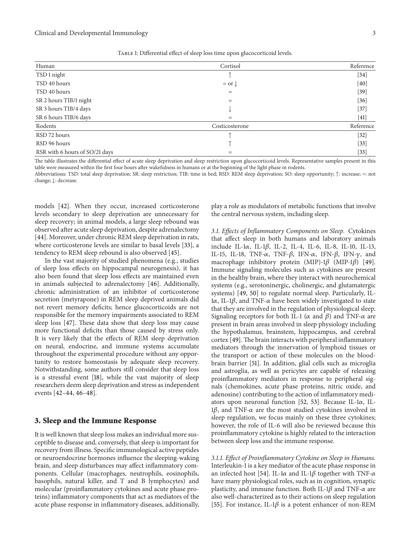| Human                          | Cortisol       | Reference |
|--------------------------------|----------------|-----------|
| TSD 1 night                    |                | $[34]$    |
| TSD 40 hours                   | $=$ or $\perp$ | $[40]$    |
| TSD 40 hours                   | $=$            | $[39]$    |
| SR 2 hours TIB/1 night         | $=$            | $[36]$    |
| SR 3 hours TIB/4 days          | J              | $[37]$    |
| SR 6 hours TIB/6 days          | $=$            | $[41]$    |
| Rodents                        | Costicosterone | Reference |
| RSD 72 hours                   |                | $[32]$    |
| RSD 96 hours                   |                | $[33]$    |
| RSR with 6 hours of SO/21 days | $=$            | $[33]$    |

<span id="page-2-0"></span>Table 1: Differential effect of sleep loss time upon glucocorticoid levels.

The table illustrates the differential effect of acute sleep deprivation and sleep restriction upon glucocorticoid levels. Representative samples present in this table were measured within the first four hours after wakefulness in humans or at the beginning of the light phase in rodents.

Abbreviations: TSD: total sleep deprivation; SR: sleep restriction; TIB: time in bed; RSD: REM sleep deprivation; SO: sleep opportunity; ↑: increase; =: not change; ↓: decrease*.*

models [\[42\]](#page-11-12). When they occur, increased corticosterone levels secondary to sleep deprivation are unnecessary for sleep recovery; in animal models, a large sleep rebound was observed after acute sleep deprivation, despite adrenalectomy [\[44](#page-11-17)]. Moreover, under chronic REM sleep deprivation in rats, where corticosterone levels are similar to basal levels [\[33\]](#page-11-7), a tendency to REM sleep rebound is also observed [\[45\]](#page-11-18).

In the vast majority of studied phenomena (e.g., studies of sleep loss effects on hippocampal neurogenesis), it has also been found that sleep loss effects are maintained even in animals subjected to adrenalectomy [\[46](#page-11-19)]. Additionally, chronic administration of an inhibitor of corticosterone secretion (metyrapone) in REM sleep deprived animals did not revert memory deficits; hence glucocorticoids are not responsible for the memory impairments associated to REM sleep loss [\[47\]](#page-11-20). These data show that sleep loss may cause more functional deficits than those caused by stress only. It is very likely that the effects of REM sleep deprivation on neural, endocrine, and immune systems accumulate throughout the experimental procedure without any opportunity to restore homeostasis by adequate sleep recovery. Notwithstanding, some authors still consider that sleep loss is a stressful event [\[18](#page-10-15)], while the vast majority of sleep researchers deem sleep deprivation and stress as independent events [\[42](#page-11-12)[–44](#page-11-17), [46](#page-11-19)[–48\]](#page-11-21).

#### **3. Sleep and the Immune Response**

It is well known that sleep loss makes an individual more susceptible to disease and, conversely, that sleep is important for recovery from illness. Specific immunological active peptides or neuroendocrine hormones influence the sleeping-waking brain, and sleep disturbances may affect inflammatory components. Cellular (macrophages, neutrophils, eosinophils, basophils, natural killer, and T and B lymphocytes) and molecular (proinflammatory cytokines and acute phase proteins) inflammatory components that act as mediators of the acute phase response in inflammatory diseases, additionally, play a role as modulators of metabolic functions that involve the central nervous system, including sleep.

*3.1. Effects of Inflammatory Components on Sleep.* Cytokines that affect sleep in both humans and laboratory animals include IL-1 $\alpha$ , IL-1 $\beta$ , IL-2, IL-4, IL-6, IL-8, IL-10, IL-13, IL-15, IL-18, TNF- $\alpha$ , TNF- $\beta$ , IFN- $\alpha$ , IFN- $\beta$ , IFN- $\gamma$ , and macrophage inhibitory protein (MIP)-1 $\beta$  (MIP-1 $\beta$ ) [\[49](#page-11-22)]. Immune signaling molecules such as cytokines are present in the healthy brain, where they interact with neurochemical systems (e.g., serotoninergic, cholinergic, and glutamatergic systems) [\[49](#page-11-22), [50](#page-11-23)] to regulate normal sleep. Particularly, IL- $1\alpha$ , IL-1 $\beta$ , and TNF- $\alpha$  have been widely investigated to state that they are involved in the regulation of physiological sleep. Signaling receptors for both IL-1 ( $\alpha$  and  $\beta$ ) and TNF- $\alpha$  are present in brain areas involved in sleep physiology including the hypothalamus, brainstem, hippocampus, and cerebral cortex [\[49](#page-11-22)]. The brain interacts with peripheral inflammatory mediators through the innervation of lymphoid tissues or the transport or action of these molecules on the bloodbrain barrier [\[51](#page-11-24)]. In addition, glial cells such as microglia and astroglia, as well as pericytes are capable of releasing proinflammatory mediators in response to peripheral signals (chemokines, acute phase proteins, nitric oxide, and adenosine) contributing to the action of inflammatory medi-ators upon neuronal function [\[52,](#page-11-25) [53\]](#page-11-26). Because IL-1 $\alpha$ , IL- $1\beta$ , and TNF- $\alpha$  are the most studied cytokines involved in sleep regulation, we focus mainly on these three cytokines; however, the role of IL-6 will also be reviewed because this proinflammatory cytokine is highly related to the interaction between sleep loss and the immune response.

*3.1.1. Effect of Proinflammatory Cytokine on Sleep in Humans.* Interleukin-1 is a key mediator of the acute phase response in an infected host [\[54](#page-11-27)]. IL-1 $\alpha$  and IL-1 $\beta$  together with TNF- $\alpha$ have many physiological roles, such as in cognition, synaptic plasticity, and immune function. Both IL-1 $\beta$  and TNF- $\alpha$  are also well-characterized as to their actions on sleep regulation [\[55](#page-11-28)]. For instance, IL-1 $\beta$  is a potent enhancer of non-REM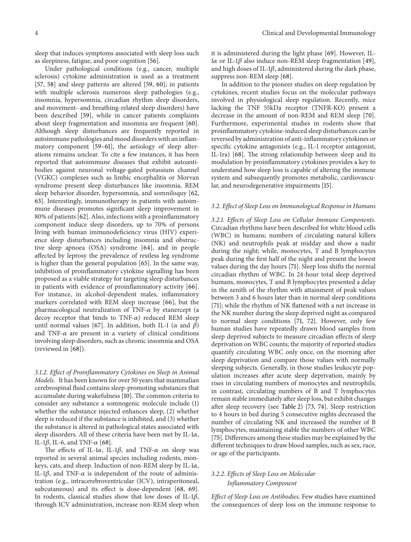sleep that induces symptoms associated with sleep loss such as sleepiness, fatigue, and poor cognition [\[56](#page-11-29)].

Under pathological conditions (e.g., cancer, multiple sclerosis) cytokine administration is used as a treatment [\[57](#page-11-30), [58](#page-11-31)] and sleep patterns are altered [\[59](#page-11-32), [60](#page-12-0)]; in patients with multiple sclerosis numerous sleep pathologies (e.g., insomnia, hypersomnia, circadian rhythm sleep disorders, and movement- and breathing-related sleep disorders) have been described [\[59](#page-11-32)], while in cancer patients complaints about sleep fragmentation and insomnia are frequent [\[60\]](#page-12-0). Although sleep disturbances are frequently reported in autoimmune pathologies and mood disorders with an inflammatory component [\[59](#page-11-32)[–61](#page-12-1)], the aetiology of sleep alterations remains unclear. To cite a few instances, it has been reported that autoimmune diseases that exhibit autoantibodies against neuronal voltage-gated potassium channel (VGKC) complexes such as limbic encephalitis or Morvan syndrome present sleep disturbances like insomnia, REM sleep behavior disorder, hypersomnia, and somniloquy [\[62](#page-12-2), [63\]](#page-12-3). Interestingly, immunotherapy in patients with autoimmune diseases promotes significant sleep improvement in 80% of patients [\[62\]](#page-12-2). Also, infections with a proinflammatory component induce sleep disorders, up to 70% of persons living with human immunodeficiency virus (HIV) experience sleep disturbances including insomnia and obstructive sleep apnoea (OSA) syndrome [\[64](#page-12-4)], and in people affected by leprosy the prevalence of restless leg syndrome is higher than the general population [\[65](#page-12-5)]. In the same way, inhibition of proinflammatory cytokine signalling has been proposed as a viable strategy for targeting sleep disturbances in patients with evidence of proinflammatory activity [\[66\]](#page-12-6). For instance, in alcohol-dependent males, inflammatory markers correlated with REM sleep increase [\[66](#page-12-6)], but the pharmacological neutralization of TNF- $\alpha$  by etanercept (a decoy receptor that binds to TNF- $\alpha$ ) reduced REM sleep until normal values [\[67](#page-12-7)]. In addition, both IL-1 ( $\alpha$  and  $\beta$ ) and TNF- $\alpha$  are present in a variety of clinical conditions involving sleep disorders, such as chronic insomnia and OSA (reviewed in [\[68\]](#page-12-8)).

*3.1.2. Effect of Proinflammatory Cytokines on Sleep in Animal Models.* It has been known for over 50 years that mammalian cerebrospinal fluid contains sleep-promoting substances that accumulate during wakefulness [\[10](#page-10-7)]. The common criteria to consider any substance a somnogenic molecule include (1) whether the substance injected enhances sleep, (2) whether sleep is reduced if the substance is inhibited, and (3) whether the substance is altered in pathological states associated with sleep disorders. All of these criteria have been met by IL-1 $\alpha$ , IL-1 $\beta$ , IL-6, and TNF- $\alpha$  [\[68\]](#page-12-8).

The effects of IL-1 $\alpha$ , IL-1 $\beta$ , and TNF- $\alpha$  on sleep was reported in several animal species including rodents, monkeys, cats, and sheep. Induction of non-REM sleep by IL-1 $\alpha$ , IL-1 $\beta$ , and TNF- $\alpha$  is independent of the route of administration (e.g., intracerebroventricular (ICV), intraperitoneal, subcutaneous) and its effect is dose-dependent [\[68,](#page-12-8) [69\]](#page-12-9). In rodents, classical studies show that low doses of IL-1 $\beta$ , through ICV administration, increase non-REM sleep when

it is administered during the light phase [\[69](#page-12-9)]. However, IL- $1\alpha$  or IL-1 $\beta$  also induce non-REM sleep fragmentation [\[49](#page-11-22)], and high doses of IL-1 $\beta$ , administered during the dark phase, suppress non-REM sleep [\[68\]](#page-12-8).

In addition to the pioneer studies on sleep regulation by cytokines, recent studies focus on the molecular pathways involved in physiological sleep regulation. Recently, mice lacking the TNF 55kDa receptor (TNFR-KO) present a decrease in the amount of non-REM and REM sleep [\[70](#page-12-10)]. Furthermore, experimental studies in rodents show that proinflammatory cytokine-induced sleep disturbances can be reversed by administration of anti-inflammatory cytokines or specific cytokine antagonists (e.g., IL-1 receptor antagonist, IL-1ra) [\[68\]](#page-12-8). The strong relationship between sleep and its modulation by proinflammatory cytokines provides a key to understand how sleep loss is capable of altering the immune system and subsequently promotes metabolic, cardiovascular, and neurodegenerative impairments [\[15](#page-10-12)].

#### *3.2. Effect of Sleep Loss on Immunological Response in Humans*

*3.2.1. Effects of Sleep Loss on Cellular Immune Components.* Circadian rhythms have been described for white blood cells (WBC) in humans; numbers of circulating natural killers (NK) and neutrophils peak at midday and show a nadir during the night; while, monocytes, T and B lymphocytes peak during the first half of the night and present the lowest values during the day hours [\[71\]](#page-12-11). Sleep loss shifts the normal circadian rhythm of WBC. In 24-hour total sleep deprived humans, monocytes, T and B lymphocytes presented a delay in the zenith of the rhythm with attainment of peak values between 3 and 6 hours later than in normal sleep conditions [\[71](#page-12-11)]; while the rhythm of NK flattened with a net increase in the NK number during the sleep deprived night as compared to normal sleep conditions [\[71](#page-12-11), [72\]](#page-12-12). However, only few human studies have repeatedly drawn blood samples from sleep deprived subjects to measure circadian effects of sleep deprivation on WBC counts; the majority of reported studies quantify circulating WBC only once, on the morning after sleep deprivation and compare those values with normally sleeping subjects. Generally, in those studies leukocyte population increases after acute sleep deprivation, mainly by rises in circulating numbers of monocytes and neutrophils; in contrast, circulating numbers of B and T lymphocytes remain stable immediately after sleep loss, but exhibit changes after sleep recovery (see [Table 2\)](#page-4-0) [\[73,](#page-12-13) [74](#page-12-14)]. Sleep restriction to 4 hours in bed during 5 consecutive nights decreased the number of circulating NK and increased the number of B lymphocytes, maintaining stable the numbers of other WBC [\[75](#page-12-15)]. Differences among these studies may be explained by the different techniques to draw blood samples, such as sex, race, or age of the participants.

#### *3.2.2. Effects of Sleep Loss on Molecular Inflammatory Component*

*Effect of Sleep Loss on Antibodies.* Few studies have examined the consequences of sleep loss on the immune response to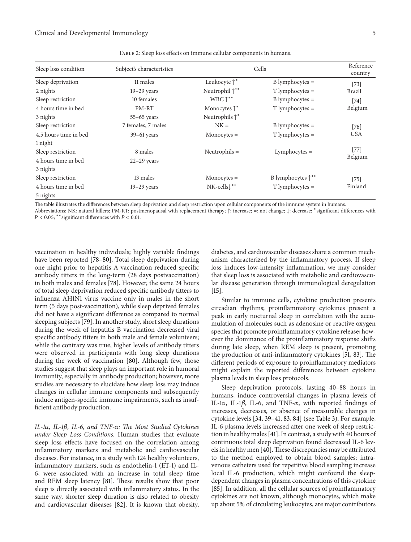| Sleep loss condition  | Subject's characteristics | Cells                       |                               | Reference<br>country |
|-----------------------|---------------------------|-----------------------------|-------------------------------|----------------------|
| Sleep deprivation     | 11 males                  | Leukocyte $\uparrow^*$      | $B$ lymphocytes $=$           | $[73]$               |
| 2 nights              | $19-29$ years             | Neutrophil $\uparrow^{**}$  | $T$ lymphocytes $=$           | Brazil               |
| Sleep restriction     | 10 females                | WBC $\uparrow^{**}$         | $B$ lymphocytes $=$           | $[74]$               |
| 4 hours time in bed   | PM-RT                     | Monocytes $\uparrow^*$      | $T$ lymphocytes $=$           | Belgium              |
| 3 nights              | $55-65$ years             | Neutrophils $\uparrow^*$    |                               |                      |
| Sleep restriction     | 7 females, 7 males        | $NK =$                      | $B$ lymphocytes $=$           | $[76]$               |
| 4.5 hours time in bed | $39-61$ years             | $Monocytes =$               | $T$ lymphocytes =             | <b>USA</b>           |
| 1 night               |                           |                             |                               |                      |
| Sleep restriction     | 8 males                   | Neutrophils $=$             | $Lymphocytes =$               | $[77]$               |
| 4 hours time in bed   | $22-29$ years             |                             |                               | Belgium              |
| 3 nights              |                           |                             |                               |                      |
| Sleep restriction     | 13 males                  | $Monocytes =$               | B lymphocytes $\uparrow^{**}$ | $[75]$               |
| 4 hours time in bed   | $19-29$ years             | $NK$ -cells $\downarrow$ ** | $T$ lymphocytes $=$           | Finland              |
| 5 nights              |                           |                             |                               |                      |

<span id="page-4-0"></span>Table 2: Sleep loss effects on immune cellular components in humans.

The table illustrates the differences between sleep deprivation and sleep restriction upon cellular components of the immune system in humans.

Abbreviations: NK: natural killers; PM-RT: postmenopausal with replacement therapy; ↑: increase; =: not change; ↓: decrease; <sup>∗</sup>significant differences with  $P < 0.05;$   $\displaystyle{ }^{**}$  significant differences with  $P < 0.01.$ 

vaccination in healthy individuals; highly variable findings have been reported [\[78](#page-12-18)[–80](#page-12-19)]. Total sleep deprivation during one night prior to hepatitis A vaccination reduced specific antibody titters in the long-term (28 days postvaccination) in both males and females [\[78](#page-12-18)]. However, the same 24 hours of total sleep deprivation reduced specific antibody titters to influenza AH1N1 virus vaccine only in males in the short term (5 days post-vaccination), while sleep deprived females did not have a significant difference as compared to normal sleeping subjects [\[79\]](#page-12-20). In another study, short sleep durations during the week of hepatitis B vaccination decreased viral specific antibody titters in both male and female volunteers; while the contrary was true, higher levels of antibody titters were observed in participants with long sleep durations during the week of vaccination [\[80\]](#page-12-19). Although few, those studies suggest that sleep plays an important role in humoral immunity, especially in antibody production; however, more studies are necessary to elucidate how sleep loss may induce changes in cellular immune components and subsequently induce antigen-specific immune impairments, such as insufficient antibody production.

*IL-1, IL-1, IL-6, and TNF-: The Most Studied Cytokines under Sleep Loss Conditions.* Human studies that evaluate sleep loss effects have focused on the correlation among inflammatory markers and metabolic and cardiovascular diseases. For instance, in a study with 124 healthy volunteers, inflammatory markers, such as endothelin-1 (ET-1) and IL-6, were associated with an increase in total sleep time and REM sleep latency [\[81](#page-12-21)]. These results show that poor sleep is directly associated with inflammatory status. In the same way, shorter sleep duration is also related to obesity and cardiovascular diseases [\[82\]](#page-12-22). It is known that obesity,

diabetes, and cardiovascular diseases share a common mechanism characterized by the inflammatory process. If sleep loss induces low-intensity inflammation, we may consider that sleep loss is associated with metabolic and cardiovascular disease generation through immunological deregulation [\[15\]](#page-10-12).

Similar to immune cells, cytokine production presents circadian rhythms; proinflammatory cytokines present a peak in early nocturnal sleep in correlation with the accumulation of molecules such as adenosine or reactive oxygen species that promote proinflammatory cytokine release; however the dominance of the proinflammatory response shifts during late sleep, when REM sleep is present, promoting the production of anti-inflammatory cytokines [\[51,](#page-11-24) [83](#page-12-23)]. The different periods of exposure to proinflammatory mediators might explain the reported differences between cytokine plasma levels in sleep loss protocols.

Sleep deprivation protocols, lasting 40–88 hours in humans, induce controversial changes in plasma levels of IL-1 $\alpha$ , IL-1 $\beta$ , IL-6, and TNF- $\alpha$ , with reported findings of increases, decreases, or absence of measurable changes in cytokine levels [\[34](#page-11-14), [39](#page-11-11)[–41,](#page-11-16) [83](#page-12-23), [84\]](#page-12-24) (see [Table 3\)](#page-5-0). For example, IL-6 plasma levels increased after one week of sleep restriction in healthy males [\[41\]](#page-11-16). In contrast, a study with 40 hours of continuous total sleep deprivation found decreased IL-6 levels in healthy men [\[40\]](#page-11-15).These discrepancies may be attributed to the method employed to obtain blood samples; intravenous catheters used for repetitive blood sampling increase local IL-6 production, which might confound the sleepdependent changes in plasma concentrations of this cytokine [\[85](#page-12-25)]. In addition, all the cellular sources of proinflammatory cytokines are not known, although monocytes, which make up about 5% of circulating leukocytes, are major contributors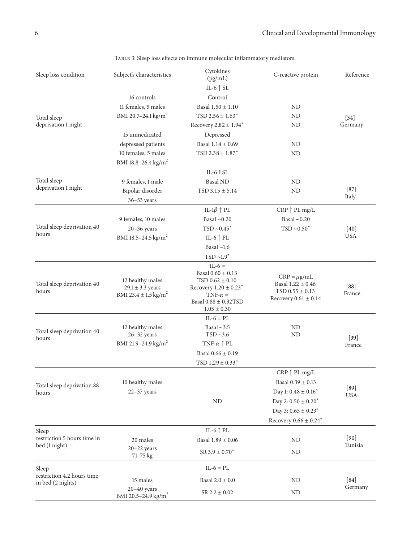| Sleep loss condition                            | Subject's characteristics                                                        | Cytokines<br>(pg/mL)                                                                                                                         | C-reactive protein                                                                         | Reference            |
|-------------------------------------------------|----------------------------------------------------------------------------------|----------------------------------------------------------------------------------------------------------------------------------------------|--------------------------------------------------------------------------------------------|----------------------|
|                                                 |                                                                                  | IL-6 $\uparrow$ SL                                                                                                                           |                                                                                            |                      |
|                                                 | 16 controls                                                                      | Control                                                                                                                                      |                                                                                            |                      |
|                                                 | 11 females, 5 males                                                              | Basal $1.50 \pm 1.10$                                                                                                                        | ND                                                                                         |                      |
| Total sleep                                     | BMI 20.7-24.1 kg/m <sup>2</sup>                                                  | TSD $2.56 \pm 1.63$ <sup>*</sup>                                                                                                             | ND                                                                                         | $[34]$               |
| deprivation 1 night                             |                                                                                  | Recovery $2.82 \pm 1.94$ <sup>*</sup>                                                                                                        | ND                                                                                         | Germany              |
|                                                 | 15 unmedicated                                                                   | Depressed                                                                                                                                    |                                                                                            |                      |
|                                                 | depressed patients                                                               | Basal $1.14 \pm 0.69$                                                                                                                        | ND                                                                                         |                      |
|                                                 | 10 females, 5 males                                                              | $TSD$ 2.38 $\pm$ 1.87 <sup>*</sup>                                                                                                           | ND                                                                                         |                      |
|                                                 | BMI 18.8-26.4 kg/m <sup>2</sup>                                                  |                                                                                                                                              |                                                                                            |                      |
|                                                 |                                                                                  | IL-6 ? SL                                                                                                                                    |                                                                                            |                      |
| Total sleep                                     | 9 females, 1 male                                                                | <b>Basal ND</b>                                                                                                                              | ND                                                                                         |                      |
| deprivation 1 night                             | Bipolar disorder                                                                 | $TSD$ 3.15 $\pm$ 5.14                                                                                                                        | ND                                                                                         | $[87]$               |
|                                                 | 36-53 years                                                                      |                                                                                                                                              |                                                                                            | Italy                |
|                                                 |                                                                                  |                                                                                                                                              |                                                                                            |                      |
|                                                 |                                                                                  | IL-1 $\beta \uparrow$ PL                                                                                                                     | $CRP \uparrow PL$ mg/L                                                                     |                      |
| Total sleep deprivation 40                      | 9 females, 10 males                                                              | Basal $\sim$ 0.20                                                                                                                            | Basal $\sim$ 0.20                                                                          |                      |
| hours                                           | $20-36$ years                                                                    | $TSD ~ 0.45$ *                                                                                                                               | $TSD ~ 0.50$ *                                                                             | $[40]$<br><b>USA</b> |
|                                                 | BMI 18.5-24.5 kg/m <sup>2</sup>                                                  | IL-6 $\uparrow$ PL                                                                                                                           |                                                                                            |                      |
|                                                 |                                                                                  | Basal $\sim$ 1.6                                                                                                                             |                                                                                            |                      |
|                                                 |                                                                                  | $TSD \sim 1.9$ *                                                                                                                             |                                                                                            |                      |
| Total sleep deprivation 40<br>hours             | 12 healthy males<br>$29.1 \pm 3.3$ years<br>BMI 23.4 $\pm$ 1.5 kg/m <sup>2</sup> | $IL-6 =$<br>Basal $0.60 \pm 0.13$<br>$TSD 0.62 \pm 0.10$<br>Recovery $1.20 \pm 0.23$ <sup>*</sup><br>TNF- $\alpha$ =<br>Basal 0.88 ± 0.32TSD | $CRP = \mu g/mL$<br>Basal 1.22 ± 0.46<br>$TSD$ 0.55 $\pm$ 0.13<br>Recovery $0.61 \pm 0.14$ | [88]<br>France       |
|                                                 |                                                                                  | $1.05 \pm 0.30$                                                                                                                              |                                                                                            |                      |
|                                                 |                                                                                  | $IL-6 = PL$<br>Basal $\sim$ 3.5                                                                                                              | ND                                                                                         |                      |
| Total sleep deprivation 40<br>hours             | 12 healthy males<br>$26 - 32$ years                                              | $TSD \sim 3.6$                                                                                                                               | ND                                                                                         | $[39]$               |
|                                                 | BMI 21.9-24.9 kg/m <sup>2</sup>                                                  | TNF- $\alpha \uparrow$ PL                                                                                                                    |                                                                                            | France               |
|                                                 |                                                                                  | Basal $0.66 \pm 0.19$                                                                                                                        |                                                                                            |                      |
|                                                 |                                                                                  | TSD $1.29 \pm 0.33$ <sup>*</sup>                                                                                                             |                                                                                            |                      |
|                                                 |                                                                                  |                                                                                                                                              | $CRP \uparrow PL$ mg/L                                                                     |                      |
| Total sleep deprivation 88<br>hours             | 10 healthy males                                                                 |                                                                                                                                              | Basal $0.39 \pm 0.13$                                                                      |                      |
|                                                 | $22-37$ years                                                                    |                                                                                                                                              | Day 1: $0.48 \pm 0.16$ <sup>*</sup>                                                        | $[89]$<br><b>USA</b> |
|                                                 |                                                                                  | ND                                                                                                                                           | Day 2: $0.50 \pm 0.20$ <sup>*</sup>                                                        |                      |
|                                                 |                                                                                  |                                                                                                                                              | Day 3: $0.65 \pm 0.23$ <sup>*</sup>                                                        |                      |
|                                                 |                                                                                  |                                                                                                                                              | Recovery $0.66 \pm 0.24$ <sup>*</sup>                                                      |                      |
| Sleep                                           |                                                                                  | IL-6 $\uparrow$ PL                                                                                                                           |                                                                                            |                      |
| restriction 5 hours time in                     | 20 males                                                                         | Basal $1.89 \pm 0.06$                                                                                                                        | ND                                                                                         | $[90]$               |
| bed (1 night)                                   | $20 - 22$ years                                                                  |                                                                                                                                              |                                                                                            | Tunisia              |
|                                                 | 71–75 kg                                                                         | $SR$ 3.9 $\pm$ 0.70 <sup>*</sup>                                                                                                             | ND                                                                                         |                      |
| Sleep                                           |                                                                                  | $IL-6 = PL$                                                                                                                                  |                                                                                            |                      |
| restriction 4.2 hours time<br>in bed (2 nights) | 15 males                                                                         | Basal $2.0 \pm 0.0$                                                                                                                          | ND                                                                                         | $[84]$               |
|                                                 | $20 - 40$ years<br>BMI 20.5-24.9 kg/m <sup>2</sup>                               | $SR$ 2.2 $\pm$ 0.02                                                                                                                          | ND                                                                                         | Germany              |

<span id="page-5-0"></span>TABLE 3: Sleep loss effects on immune molecular inflammatory mediators.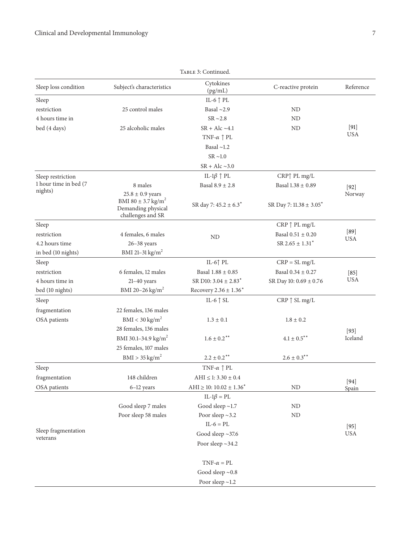| TABLE 3: Continued.   |                                         |                                      |                                   |                 |
|-----------------------|-----------------------------------------|--------------------------------------|-----------------------------------|-----------------|
| Sleep loss condition  | Subject's characteristics               | Cytokines<br>(pg/mL)                 | C-reactive protein                | Reference       |
| Sleep                 |                                         | IL-6 $\uparrow$ PL                   |                                   |                 |
| restriction           | 25 control males                        | Basal $\sim$ 2.9                     | ND                                |                 |
| 4 hours time in       |                                         | $SR \sim 2.8$                        | ND                                |                 |
| bed (4 days)          | 25 alcoholic males                      | $SR + Alc \sim 4.1$                  | ND                                | $[91]$          |
|                       |                                         | TNF- $\alpha \uparrow$ PL            |                                   | <b>USA</b>      |
|                       |                                         | Basal $\sim$ 1.2                     |                                   |                 |
|                       |                                         | $SR \sim 1.0$                        |                                   |                 |
|                       |                                         | $SR + Alc \sim 3.0$                  |                                   |                 |
| Sleep restriction     |                                         | IL-1 $\beta \uparrow$ PL             | CRP↑ PL mg/L                      |                 |
| 1 hour time in bed (7 | 8 males                                 | Basal $8.9 \pm 2.8$                  | Basal $1.38 \pm 0.89$             | $[92]$          |
| nights)               | $25.8 \pm 0.9$ years                    |                                      |                                   | Norway          |
|                       | BMI 80 $\pm$ 3.7 kg/m <sup>2</sup>      | SR day 7: 45.2 ± 6.3 <sup>*</sup>    | SR Day 7: $11.38 \pm 3.05^*$      |                 |
|                       | Demanding physical<br>challenges and SR |                                      |                                   |                 |
| Sleep                 |                                         |                                      | $CRP \uparrow PL$ mg/L            |                 |
| restriction           | 4 females, 6 males                      | ND                                   | Basal $0.51 \pm 0.20$             | $[89]$          |
| 4.2 hours time        | $26 - 38$ years                         |                                      | $SR$ 2.65 $\pm$ 1.31 <sup>*</sup> | <b>USA</b>      |
| in bed (10 nights)    | BMI 21-31 $\text{kg/m}^2$               |                                      |                                   |                 |
| Sleep                 |                                         | IL-6 $\uparrow$ PL                   | $CRP = SL mg/L$                   |                 |
| restriction           | 6 females, 12 males                     | Basal $1.88 \pm 0.85$                | Basal $0.34 \pm 0.27$             | $[85]$          |
| 4 hours time in       | $21 - 40$ years                         | SR D10: $3.04 \pm 2.83$ <sup>*</sup> | SR Day 10: 0.69 ± 0.76            | USA             |
| bed (10 nights)       | BMI 20-26 kg/m <sup>2</sup>             | Recovery $2.36 \pm 1.36^*$           |                                   |                 |
| Sleep                 |                                         | IL-6 $\uparrow$ SL                   | $CRP \uparrow SLmg/L$             |                 |
| fragmentation         | 22 females, 136 males                   |                                      |                                   |                 |
| OSA patients          | $BMI < 30$ kg/m <sup>2</sup>            | $1.3 \pm 0.1$                        | $1.8 \pm 0.2$                     |                 |
|                       | 28 females, 136 males                   |                                      |                                   | $[93]$          |
|                       | BMI 30.1-34.9 kg/m <sup>2</sup>         | $1.6 \pm 0.2***$                     | $4.1\pm0.5$ $^{**}$               | Iceland         |
|                       | 25 females, 107 males                   |                                      |                                   |                 |
|                       | $BMI > 35$ kg/m <sup>2</sup>            | $2.2\pm0.2^{\ast\ast}$               | $2.6 \pm 0.3***$                  |                 |
| Sleep                 |                                         | TNF- $\alpha \uparrow$ PL            |                                   |                 |
| fragmentation         | 148 children                            | $\mathrm{AHI} \leq 1:3.30\pm0.4$     |                                   |                 |
| OSA patients          | 6-12 years                              | $AHI \ge 10: 10.02 \pm 1.36^*$       | ND                                | $[94]$<br>Spain |
|                       |                                         | $IL-1\beta = PL$                     |                                   |                 |
|                       | Good sleep 7 males                      | Good sleep $\sim$ 1.7                | ND                                |                 |
|                       | Poor sleep 58 males                     | Poor sleep $\sim$ 3.2                | ND                                |                 |
|                       |                                         | $IL-6 = PL$                          |                                   | $[95]$          |
| Sleep fragmentation   |                                         | Good sleep $\sim$ 37.6               |                                   | <b>USA</b>      |
| veterans              |                                         | Poor sleep $\sim$ 34.2               |                                   |                 |
|                       |                                         |                                      |                                   |                 |
|                       |                                         | $TNF-\alpha = PL$                    |                                   |                 |
|                       |                                         | Good sleep $\sim 0.8$                |                                   |                 |
|                       |                                         | Poor sleep $\sim$ 1.2                |                                   |                 |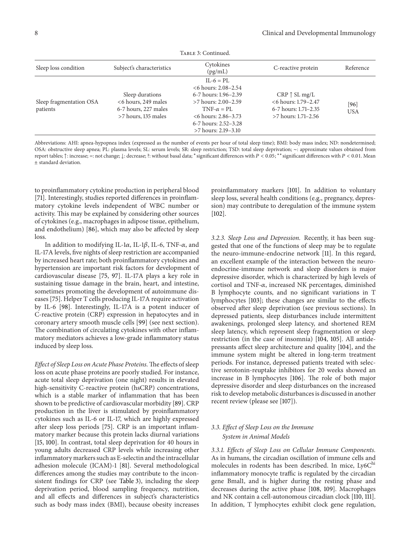| Sleep loss condition    | Subject's characteristics | Cytokines<br>(pg/mL)  | C-reactive protein    | Reference  |
|-------------------------|---------------------------|-----------------------|-----------------------|------------|
|                         |                           | $IL-6 = PL$           |                       |            |
|                         |                           | $<6$ hours: 2.08–2.54 |                       |            |
|                         | Sleep durations           | 6-7 hours: 1.96–2.39  | $CRP \uparrow SLmg/L$ |            |
| Sleep fragmentation OSA | <6 hours, 249 males       | $>7$ hours: 2.00–2.59 | <6 hours: 1.79-2.47   | [96]       |
| patients                | 6-7 hours, 227 males      | $TNF-\alpha = PI$     | 6-7 hours: 1.71–2.35  | <b>USA</b> |
|                         | >7 hours, 135 males       | $<6$ hours: 2.86–3.73 | $>7$ hours: 1.71–2.56 |            |
|                         |                           | 6-7 hours: 2.52–3.28  |                       |            |
|                         |                           | >7 hours: 2.19–3.10   |                       |            |

Table 3: Continued.

Abbreviations: AHI: apnea-hypopnea index (expressed as the number of events per hour of total sleep time); BMI: body mass index; ND: nondetermined; OSA: obstructive sleep apnea; PL: plasma levels; SL: serum levels; SR: sleep restriction; TSD: total sleep deprivation; ∼: approximate values obtained from report tables;  $\uparrow$ : increase; =: not change;  $\downarrow$ : decrease; ?: without basal data; \*significant differences with  $P < 0.05$ ; \*\*significant differences with  $P < 0.01$ . Mean ± standard deviation.

to proinflammatory cytokine production in peripheral blood [\[71](#page-12-11)]. Interestingly, studies reported differences in proinflammatory cytokine levels independent of WBC number or activity. This may be explained by considering other sources of cytokines (e.g., macrophages in adipose tissue, epithelium, and endothelium) [\[86\]](#page-12-32), which may also be affected by sleep loss.

In addition to modifying IL-1 $\alpha$ , IL-1 $\beta$ , IL-6, TNF- $\alpha$ , and IL-17A levels, five nights of sleep restriction are accompanied by increased heart rate; both proinflammatory cytokines and hypertension are important risk factors for development of cardiovascular disease [\[75,](#page-12-15) [97\]](#page-13-4). IL-17A plays a key role in sustaining tissue damage in the brain, heart, and intestine, sometimes promoting the development of autoimmune diseases [\[75](#page-12-15)]. Helper T cells producing IL-17A require activation by IL-6 [\[98](#page-13-5)]. Interestingly, IL-17A is a potent inducer of C-reactive protein (CRP) expression in hepatocytes and in coronary artery smooth muscle cells [\[99](#page-13-6)] (see next section). The combination of circulating cytokines with other inflammatory mediators achieves a low-grade inflammatory status induced by sleep loss.

*Effect of Sleep Loss on Acute Phase Proteins.*The effects of sleep loss on acute phase proteins are poorly studied. For instance, acute total sleep deprivation (one night) results in elevated high-sensitivity C-reactive protein (hsCRP) concentrations, which is a stable marker of inflammation that has been shown to be predictive of cardiovascular morbidity [\[89\]](#page-12-28). CRP production in the liver is stimulated by proinflammatory cytokines such as IL-6 or IL-17, which are highly expressed after sleep loss periods [\[75](#page-12-15)]. CRP is an important inflammatory marker because this protein lacks diurnal variations [\[15,](#page-10-12) [100](#page-13-7)]. In contrast, total sleep deprivation for 40 hours in young adults decreased CRP levels while increasing other inflammatory markers such as E-selectin and the intracellular adhesion molecule (ICAM)-1 [\[81\]](#page-12-21). Several methodological differences among the studies may contribute to the inconsistent findings for CRP (see [Table 3\)](#page-5-0), including the sleep deprivation period, blood sampling frequency, nutrition, and all effects and differences in subject's characteristics such as body mass index (BMI), because obesity increases

proinflammatory markers [\[101](#page-13-8)]. In addition to voluntary sleep loss, several health conditions (e.g., pregnancy, depression) may contribute to deregulation of the immune system [\[102\]](#page-13-9).

*3.2.3. Sleep Loss and Depression.* Recently, it has been suggested that one of the functions of sleep may be to regulate the neuro-immune-endocrine network [\[11](#page-10-8)]. In this regard, an excellent example of the interaction between the neuroendocrine-immune network and sleep disorders is major depressive disorder, which is characterized by high levels of cortisol and TNF- $\alpha$ , increased NK percentages, diminished B lymphocyte counts, and no significant variations in T lymphocytes [\[103\]](#page-13-10); these changes are similar to the effects observed after sleep deprivation (see previous sections). In depressed patients, sleep disturbances include intermittent awakenings, prolonged sleep latency, and shortened REM sleep latency, which represent sleep fragmentation or sleep restriction (in the case of insomnia) [\[104](#page-13-11), [105\]](#page-13-12). All antidepressants affect sleep architecture and quality [\[104\]](#page-13-11), and the immune system might be altered in long-term treatment periods. For instance, depressed patients treated with selective serotonin-reuptake inhibitors for 20 weeks showed an increase in B lymphocytes [\[106](#page-13-13)]. The role of both major depressive disorder and sleep disturbances on the increased risk to develop metabolic disturbances is discussed in another recent review (please see [\[107\]](#page-13-14)).

## *3.3. Effect of Sleep Loss on the Immune System in Animal Models*

*3.3.1. Effects of Sleep Loss on Cellular Immune Components.* As in humans, the circadian oscillation of immune cells and molecules in rodents has been described. In mice, Ly6Chi inflammatory monocyte traffic is regulated by the circadian gene Bmal1, and is higher during the resting phase and decreases during the active phase [\[108,](#page-13-15) [109](#page-13-16)]. Macrophages and NK contain a cell-autonomous circadian clock [\[110](#page-13-17), [111](#page-13-18)]. In addition, T lymphocytes exhibit clock gene regulation,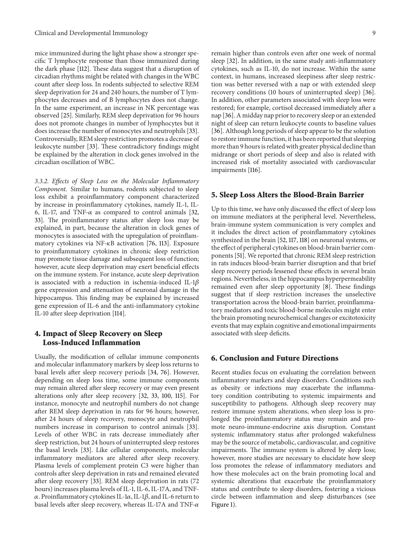mice immunized during the light phase show a stronger specific T lymphocyte response than those immunized during the dark phase [\[112](#page-13-19)]. These data suggest that a disruption of circadian rhythms might be related with changes in the WBC count after sleep loss. In rodents subjected to selective REM sleep deprivation for 24 and 240 hours, the number of T lymphocytes decreases and of B lymphocytes does not change. In the same experiment, an increase in NK percentage was observed [\[25\]](#page-10-20). Similarly, REM sleep deprivation for 96 hours does not promote changes in number of lymphocytes but it does increase the number of monocytes and neutrophils [\[33\]](#page-11-7). Controversially, REM sleep restriction promotes a decrease of leukocyte number [\[33](#page-11-7)]. These contradictory findings might be explained by the alteration in clock genes involved in the circadian oscillation of WBC.

*3.3.2. Effects of Sleep Loss on the Molecular Inflammatory Component.* Similar to humans, rodents subjected to sleep loss exhibit a proinflammatory component characterized by increase in proinflammatory cytokines, namely IL-1, IL-6, IL-17, and TNF- $\alpha$  as compared to control animals [\[32](#page-11-5), [33](#page-11-7)]. The proinflammatory status after sleep loss may be explained, in part, because the alteration in clock genes of monocytes is associated with the upregulation of proinflammatory cytokines via NF- $\kappa$ B activation [\[76,](#page-12-16) [113\]](#page-13-20). Exposure to proinflammatory cytokines in chronic sleep restriction may promote tissue damage and subsequent loss of function; however, acute sleep deprivation may exert beneficial effects on the immune system. For instance, acute sleep deprivation is associated with a reduction in ischemia-induced IL-1 $\beta$ gene expression and attenuation of neuronal damage in the hippocampus. This finding may be explained by increased gene expression of IL-6 and the anti-inflammatory cytokine IL-10 after sleep deprivation [\[114\]](#page-13-21).

## **4. Impact of Sleep Recovery on Sleep Loss-Induced Inflammation**

Usually, the modification of cellular immune components and molecular inflammatory markers by sleep loss returns to basal levels after sleep recovery periods [\[34,](#page-11-14) [76\]](#page-12-16). However, depending on sleep loss time, some immune components may remain altered after sleep recovery or may even present alterations only after sleep recovery [\[32,](#page-11-5) [33,](#page-11-7) [100,](#page-13-7) [115](#page-13-22)]. For instance, monocyte and neutrophil numbers do not change after REM sleep deprivation in rats for 96 hours; however, after 24 hours of sleep recovery, monocyte and neutrophil numbers increase in comparison to control animals [\[33\]](#page-11-7). Levels of other WBC in rats decrease immediately after sleep restriction, but 24 hours of uninterrupted sleep restores the basal levels [\[33](#page-11-7)]. Like cellular components, molecular inflammatory mediators are altered after sleep recovery. Plasma levels of complement protein C3 were higher than controls after sleep deprivation in rats and remained elevated after sleep recovery [\[33](#page-11-7)]. REM sleep deprivation in rats (72 hours) increases plasma levels of IL-1, IL-6, IL-17A, and TNF-  $\alpha$ . Proinflammatory cytokines IL-1 $\alpha$ , IL-1 $\beta$ , and IL-6 return to basal levels after sleep recovery, whereas IL-17A and TNF- $\alpha$ 

remain higher than controls even after one week of normal sleep [\[32\]](#page-11-5). In addition, in the same study anti-inflammatory cytokines, such as IL-10, do not increase. Within the same context, in humans, increased sleepiness after sleep restriction was better reversed with a nap or with extended sleep recovery conditions (10 hours of uninterrupted sleep) [\[36](#page-11-8)]. In addition, other parameters associated with sleep loss were restored; for example, cortisol decreased immediately after a nap [\[36](#page-11-8)]. A midday nap prior to recovery sleep or an extended night of sleep can return leukocyte counts to baseline values [\[36\]](#page-11-8). Although long periods of sleep appear to be the solution to restore immune function, it has been reported that sleeping more than 9 hours is related with greater physical decline than midrange or short periods of sleep and also is related with increased risk of mortality associated with cardiovascular impairments [\[116\]](#page-13-23).

#### **5. Sleep Loss Alters the Blood-Brain Barrier**

Up to this time, we have only discussed the effect of sleep loss on immune mediators at the peripheral level. Nevertheless, brain-immune system communication is very complex and it includes the direct action of proinflammatory cytokines synthesized in the brain [\[52](#page-11-25), [117](#page-13-24), [118\]](#page-13-25) on neuronal systems, or the effect of peripheral cytokines on blood-brain barrier components [\[51\]](#page-11-24). We reported that chronic REM sleep restriction in rats induces blood-brain barrier disruption and that brief sleep recovery periods lessened these effects in several brain regions. Nevertheless, in the hippocampus hyperpermeability remained even after sleep opportunity [\[8\]](#page-10-5). These findings suggest that if sleep restriction increases the unselective transportation across the blood-brain barrier, proinflammatory mediators and toxic blood-borne molecules might enter the brain promoting neurochemical changes or excitotoxicity events that may explain cognitive and emotional impairments associated with sleep deficits.

## **6. Conclusion and Future Directions**

Recent studies focus on evaluating the correlation between inflammatory markers and sleep disorders. Conditions such as obesity or infections may exacerbate the inflammatory condition contributing to systemic impairments and susceptibility to pathogens. Although sleep recovery may restore immune system alterations, when sleep loss is prolonged the proinflammatory status may remain and promote neuro-immune-endocrine axis disruption. Constant systemic inflammatory status after prolonged wakefulness may be the source of metabolic, cardiovascular, and cognitive impairments. The immune system is altered by sleep loss; however, more studies are necessary to elucidate how sleep loss promotes the release of inflammatory mediators and how these molecules act on the brain promoting local and systemic alterations that exacerbate the proinflammatory status and contribute to sleep disorders, fostering a vicious circle between inflammation and sleep disturbances (see [Figure 1\)](#page-9-0).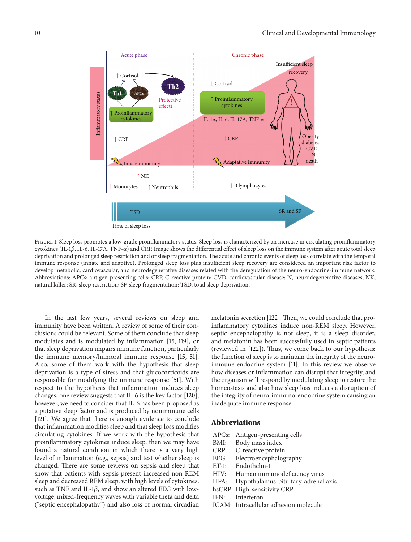

<span id="page-9-0"></span>Figure 1: Sleep loss promotes a low-grade proinflammatory status. Sleep loss is characterized by an increase in circulating proinflammatory cytokines (IL-1 $\beta$ , IL-6, IL-17A, TNF- $\alpha$ ) and CRP. Image shows the differential effect of sleep loss on the immune system after acute total sleep deprivation and prolonged sleep restriction and or sleep fragmentation. The acute and chronic events of sleep loss correlate with the temporal immune response (innate and adaptive). Prolonged sleep loss plus insufficient sleep recovery are considered an important risk factor to develop metabolic, cardiovascular, and neurodegenerative diseases related with the deregulation of the neuro-endocrine-immune network. Abbreviations: APCs; antigen-presenting cells; CRP, C-reactive protein; CVD, cardiovascular disease; N, neurodegenerative diseases; NK, natural killer; SR, sleep restriction; SF, sleep fragmentation; TSD, total sleep deprivation.

In the last few years, several reviews on sleep and immunity have been written. A review of some of their conclusions could be relevant. Some of them conclude that sleep modulates and is modulated by inflammation [\[15,](#page-10-12) [119](#page-13-26)], or that sleep deprivation impairs immune function, particularly the immune memory/humoral immune response [\[15](#page-10-12), [51\]](#page-11-24). Also, some of them work with the hypothesis that sleep deprivation is a type of stress and that glucocorticoids are responsible for modifying the immune response [\[51](#page-11-24)]. With respect to the hypothesis that inflammation induces sleep changes, one review suggests that IL-6 is the key factor [\[120\]](#page-13-27); however, we need to consider that IL-6 has been proposed as a putative sleep factor and is produced by nonimmune cells [\[121](#page-13-28)]. We agree that there is enough evidence to conclude that inflammation modifies sleep and that sleep loss modifies circulating cytokines. If we work with the hypothesis that proinflammatory cytokines induce sleep, then we may have found a natural condition in which there is a very high level of inflammation (e.g., sepsis) and test whether sleep is changed. There are some reviews on sepsis and sleep that show that patients with sepsis present increased non-REM sleep and decreased REM sleep, with high levels of cytokines, such as TNF and IL-1 $\beta$ , and show an altered EEG with lowvoltage, mixed-frequency waves with variable theta and delta ("septic encephalopathy") and also loss of normal circadian melatonin secretion [\[122\]](#page-13-29). Then, we could conclude that proinflammatory cytokines induce non-REM sleep. However, septic encephalopathy is not sleep, it is a sleep disorder, and melatonin has been successfully used in septic patients (reviewed in [\[122](#page-13-29)]). Thus, we come back to our hypothesis: the function of sleep is to maintain the integrity of the neuroimmune-endocrine system [\[11\]](#page-10-8). In this review we observe how diseases or inflammation can disrupt that integrity, and the organism will respond by modulating sleep to restore the homeostasis and also how sleep loss induces a disruption of the integrity of neuro-immuno-endocrine system causing an inadequate immune response.

#### **Abbreviations**

- APCs: Antigen-presenting cells
- BMI: Body mass index
- CRP: C-reactive protein
- EEG: Electroencephalography
- ET-1: Endothelin-1
- HIV: Human immunodeficiency virus
- HPA: Hypothalamus-pituitary-adrenal axis
- hsCRP: High-sensitivity CRP
- IFN: Interferon
- ICAM: Intracellular adhesion molecule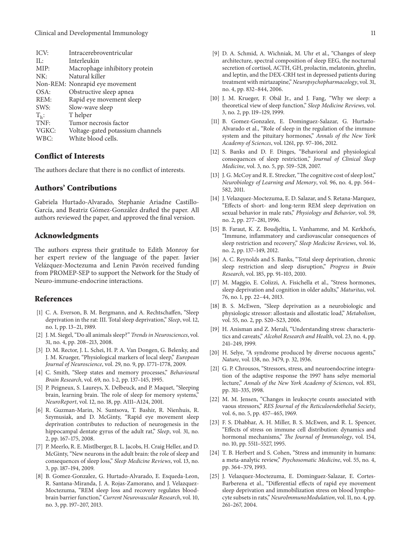| ICV:    | Intracerebroventricular          |
|---------|----------------------------------|
| IL:     | Interleukin                      |
| MIP:    | Macrophage inhibitory protein    |
| NK:     | Natural killer                   |
|         | Non-REM: Nonrapid eye movement   |
| OSA:    | Obstructive sleep apnea          |
| REM:    | Rapid eye movement sleep         |
| SWS:    | Slow-wave sleep                  |
| $T_h$ : | T helper                         |
| TNF:    | Tumor necrosis factor            |
| VGKC:   | Voltage-gated potassium channels |
| WBC:    | White blood cells.               |

## **Conflict of Interests**

The authors declare that there is no conflict of interests.

## **Authors' Contributions**

Gabriela Hurtado-Alvarado, Stephanie Ariadne Castillo-García, and Beatriz Gómez-González drafted the paper. All authors reviewed the paper, and approved the final version.

#### **Acknowledgments**

The authors express their gratitude to Edith Monroy for her expert review of the language of the paper. Javier Velázquez-Moctezuma and Lenin Pavón received funding from PROMEP-SEP to support the Network for the Study of Neuro-immune-endocrine interactions.

#### <span id="page-10-0"></span>**References**

- <span id="page-10-1"></span>[1] C. A. Everson, B. M. Bergmann, and A. Rechtschaffen, "Sleep deprivation in the rat: III. Total sleep deprivation," *Sleep*, vol. 12, no. 1, pp. 13–21, 1989.
- <span id="page-10-2"></span>[2] J. M. Siegel, "Do all animals sleep?" *Trends in Neurosciences*, vol. 31, no. 4, pp. 208–213, 2008.
- <span id="page-10-3"></span>[3] D. M. Rector, J. L. Schei, H. P. A. Van Dongen, G. Belenky, and J. M. Krueger, "Physiological markers of local sleep," *European Journal of Neuroscience*, vol. 29, no. 9, pp. 1771–1778, 2009.
- <span id="page-10-4"></span>[4] C. Smith, "Sleep states and memory processes," *Behavioural Brain Research*, vol. 69, no. 1-2, pp. 137–145, 1995.
- [5] P. Peigneux, S. Laureys, X. Delbeuck, and P. Maquet, "Sleeping brain, learning brain. The role of sleep for memory systems," *NeuroReport*, vol. 12, no. 18, pp. A111–A124, 2001.
- [6] R. Guzman-Marin, N. Suntsova, T. Bashir, R. Nienhuis, R. Szymusiak, and D. McGinty, "Rapid eye movement sleep deprivation contributes to reduction of neurogenesis in the hippocampal dentate gyrus of the adult rat," *Sleep*, vol. 31, no. 2, pp. 167–175, 2008.
- <span id="page-10-9"></span>[7] P. Meerlo, R. E. Mistlberger, B. L. Jacobs, H. Craig Heller, and D. McGinty, "New neurons in the adult brain: the role of sleep and consequences of sleep loss," *Sleep Medicine Reviews*, vol. 13, no. 3, pp. 187–194, 2009.
- <span id="page-10-5"></span>[8] B. Gomez-Gonzalez, G. Hurtado-Alvarado, E. Esqueda-Leon, R. Santana-Miranda, J. A. Rojas-Zamorano, and J. Velazquez-Moctezuma, "REM sleep loss and recovery regulates bloodbrain barrier function," *Current Neurovascular Research*, vol. 10, no. 3, pp. 197–207, 2013.
- <span id="page-10-6"></span>[9] D. A. Schmid, A. Wichniak, M. Uhr et al., "Changes of sleep architecture, spectral composition of sleep EEG, the nocturnal secretion of cortisol, ACTH, GH, prolactin, melatonin, ghrelin, and leptin, and the DEX-CRH test in depressed patients during treatment with mirtazapine," *Neuropsychopharmacology*, vol. 31, no. 4, pp. 832–844, 2006.
- <span id="page-10-7"></span>[10] J. M. Krueger, F. Obál Jr., and J. Fang, "Why we sleep: a theoretical view of sleep function," *Sleep Medicine Reviews*, vol. 3, no. 2, pp. 119–129, 1999.
- <span id="page-10-8"></span>[11] B. Gomez-Gonzalez, E. Dominguez-Salazar, G. Hurtado-Alvarado et al., "Role of sleep in the regulation of the immune system and the pituitary hormones," *Annals of the New York Academy of Sciences*, vol. 1261, pp. 97–106, 2012.
- <span id="page-10-10"></span>[12] S. Banks and D. F. Dinges, "Behavioral and physiological consequences of sleep restriction," *Journal of Clinical Sleep Medicine*, vol. 3, no. 5, pp. 519–528, 2007.
- [13] J. G. McCoy and R. E. Strecker, "The cognitive cost of sleep lost," *Neurobiology of Learning and Memory*, vol. 96, no. 4, pp. 564– 582, 2011.
- <span id="page-10-11"></span>[14] J. Velazquez-Moctezuma, E. D. Salazar, and S. Retana-Marquez, "Effects of short- and long-term REM sleep deprivation on sexual behavior in male rats," *Physiology and Behavior*, vol. 59, no. 2, pp. 277–281, 1996.
- <span id="page-10-12"></span>[15] B. Faraut, K. Z. Boudjeltia, L. Vanhamme, and M. Kerkhofs, "Immune, inflammatory and cardiovascular consequences of sleep restriction and recovery," *Sleep Medicine Reviews*, vol. 16, no. 2, pp. 137–149, 2012.
- <span id="page-10-13"></span>[16] A. C. Reynolds and S. Banks, "Total sleep deprivation, chronic sleep restriction and sleep disruption," *Progress in Brain Research*, vol. 185, pp. 91–103, 2010.
- <span id="page-10-14"></span>[17] M. Maggio, E. Colizzi, A. Fisichella et al., "Stress hormones, sleep deprivation and cognition in older adults," *Maturitas*, vol. 76, no. 1, pp. 22–44, 2013.
- <span id="page-10-15"></span>[18] B. S. McEwen, "Sleep deprivation as a neurobiologic and physiologic stressor: allostasis and allostatic load," *Metabolism*, vol. 55, no. 2, pp. S20–S23, 2006.
- <span id="page-10-16"></span>[19] H. Anisman and Z. Merali, "Understanding stress: characteristics and caveats," *Alcohol Research and Health*, vol. 23, no. 4, pp. 241–249, 1999.
- <span id="page-10-17"></span>[20] H. Selye, "A syndrome produced by diverse nocuous agents," *Nature*, vol. 138, no. 3479, p. 32, 1936.
- <span id="page-10-18"></span>[21] G. P. Chrousos, "Stressors, stress, and neuroendocrine integration of the adaptive response the 1997 hans selye memorial lecture," *Annals of the New York Academy of Sciences*, vol. 851, pp. 311–335, 1998.
- <span id="page-10-19"></span>[22] M. M. Jensen, "Changes in leukocyte counts associated with vaous stressors," *RES Journal of the Reticuloendothelial Society*, vol. 6, no. 5, pp. 457–465, 1969.
- [23] F. S. Dhabhar, A. H. Miller, B. S. McEwen, and R. L. Spencer, "Effects of stress on immune cell distribution: dynamics and hormonal mechanisms," *The Journal of Immunology*, vol. 154, no. 10, pp. 5511–5527, 1995.
- [24] T. B. Herbert and S. Cohen, "Stress and immunity in humans: a meta-analytic review," *Psychosomatic Medicine*, vol. 55, no. 4, pp. 364–379, 1993.
- <span id="page-10-20"></span>[25] J. Velazquez-Moctezuma, E. Dominguez-Salazar, E. Cortes-Barberena et al., "Differential effects of rapid eye movement sleep deprivation and immobilization stress on blood lymphocyte subsets in rats," *NeuroImmunoModulation*, vol. 11, no. 4, pp. 261–267, 2004.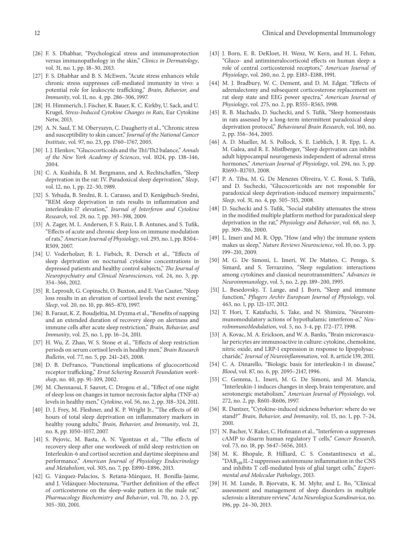- [26] F. S. Dhabhar, "Psychological stress and immunoprotection versus immunopathology in the skin," *Clinics in Dermatology*, vol. 31, no. 1, pp. 18–30, 2013.
- <span id="page-11-0"></span>[27] F. S. Dhabhar and B. S. McEwen, "Acute stress enhances while chronic stress suppresses cell-mediated immunity in vivo: a potential role for leukocyte trafficking," *Brain, Behavior, and Immunity*, vol. 11, no. 4, pp. 286–306, 1997.
- <span id="page-11-1"></span>[28] H. Himmerich, J. Fischer, K. Bauer, K. C. Kirkby, U. Sack, and U. Krugel, *Stress-Induced Cytokine Changes in Rats*, Eur Cytokine Netw, 2013.
- <span id="page-11-2"></span>[29] A. N. Saul, T. M. Oberyszyn, C. Daugherty et al., "Chronic stress and susceptibility to skin cancer," *Journal of the National Cancer Institute*, vol. 97, no. 23, pp. 1760–1767, 2005.
- <span id="page-11-3"></span>[30] I. J. Elenkov, "Glucocorticoids and the Th1/Th2 balance," *Annals of the New York Academy of Sciences*, vol. 1024, pp. 138–146, 2004.
- <span id="page-11-4"></span>[31] C. A. Kushida, B. M. Bergmann, and A. Rechtschaffen, "Sleep deprivation in the rat: IV. Paradoxical sleep deprivation," *Sleep*, vol. 12, no. 1, pp. 22–30, 1989.
- <span id="page-11-5"></span>[32] S. Yehuda, B. Sredni, R. L. Carasso, and D. Kenigsbuch-Sredni, "REM sleep deprivation in rats results in inflammation and interleukin-17 elevation," *Journal of Interferon and Cytokine Research*, vol. 29, no. 7, pp. 393–398, 2009.
- <span id="page-11-7"></span>[33] A. Zager, M. L. Andersen, F. S. Ruiz, I. B. Antunes, and S. Tufik, "Effects of acute and chronic sleep loss on immune modulation of rats,"*American Journal of Physiology*, vol. 293, no. 1, pp. R504– R509, 2007.
- <span id="page-11-14"></span>[34] U. Voderholzer, B. L. Fiebich, R. Dersch et al., "Effects of sleep deprivation on nocturnal cytokine concentrations in depressed patients and healthy control subjects," *The Journal of Neuropsychiatry and Clinical Neurosciences*, vol. 24, no. 3, pp. 354–366, 2012.
- <span id="page-11-6"></span>[35] R. Leproult, G. Copinschi, O. Buxton, and E. Van Cauter, "Sleep loss results in an elevation of cortisol levels the next evening," *Sleep*, vol. 20, no. 10, pp. 865–870, 1997.
- <span id="page-11-8"></span>[36] B. Faraut, K. Z. Boudjeltia, M. Dyzma et al., "Benefits of napping and an extended duration of recovery sleep on alertness and immune cells after acute sleep restriction," *Brain, Behavior, and Immunity*, vol. 25, no. 1, pp. 16–24, 2011.
- <span id="page-11-9"></span>[37] H. Wu, Z. Zhao, W. S. Stone et al., "Effects of sleep restriction periods on serum cortisol levels in healthy men," *Brain Research Bulletin*, vol. 77, no. 5, pp. 241–245, 2008.
- <span id="page-11-10"></span>[38] D. B. DeFranco, "Functional implications of glucocorticoid receptor trafficking," *Ernst Schering Research Foundation workshop*, no. 40, pp. 91–109, 2002.
- <span id="page-11-11"></span>[39] M. Chennaoui, F. Sauvet, C. Drogou et al., "Effect of one night of sleep loss on changes in tumor necrosis factor alpha (TNF- $\alpha$ ) levels in healthy men," *Cytokine*, vol. 56, no. 2, pp. 318–324, 2011.
- <span id="page-11-15"></span>[40] D. J. Frey, M. Fleshner, and K. P. Wright Jr., "The effects of 40 hours of total sleep deprivation on inflammatory markers in healthy young adults," *Brain, Behavior, and Immunity*, vol. 21, no. 8, pp. 1050–1057, 2007.
- <span id="page-11-16"></span>[41] S. Pejovic, M. Basta, A. N. Vgontzas et al., "The effects of recovery sleep after one workweek of mild sleep restriction on Interleukin-6 and cortisol secretion and daytime sleepiness and performance," *American Journal of Physiology Endocrinology and Metabolism*, vol. 305, no. 7, pp. E890–E896, 2013.
- <span id="page-11-12"></span>[42] G. Vázquez-Palacios, S. Retana-Márquez, H. Bonilla-Jaime, and J. Velázquez-Moctezuma, "Further definition of the effect of corticosterone on the sleep-wake pattern in the male rat," *Pharmacology Biochemistry and Behavior*, vol. 70, no. 2-3, pp. 305–310, 2001.
- <span id="page-11-13"></span>[43] J. Born, E. R. DeKloet, H. Wenz, W. Kern, and H. L. Fehm, "Gluco- and antimineralocorticoid effects on human sleep: a role of central corticosteroid receptors," *American Journal of Physiology*, vol. 260, no. 2, pp. E183–E188, 1991.
- <span id="page-11-17"></span>[44] M. J. Bradbury, W. C. Dement, and D. M. Edgar, "Effects of adrenalectomy and subsequent corticosterone replacement on rat sleep state and EEG power spectra," *American Journal of Physiology*, vol. 275, no. 2, pp. R555–R565, 1998.
- <span id="page-11-18"></span>[45] R. B. Machado, D. Suchecki, and S. Tufik, "Sleep homeostasis in rats assessed by a long-term intermittent paradoxical sleep deprivation protocol," *Behavioural Brain Research*, vol. 160, no. 2, pp. 356–364, 2005.
- <span id="page-11-19"></span>[46] A. D. Mueller, M. S. Pollock, S. E. Lieblich, J. R. Epp, L. A. M. Galea, and R. E. Mistlberger, "Sleep deprivation can inhibit adult hippocampal neurogenesis independent of adrenal stress hormones," *American Journal of Physiology*, vol. 294, no. 5, pp. R1693–R1703, 2008.
- <span id="page-11-20"></span>[47] P. A. Tiba, M. G. De Menezes Oliveira, V. C. Rossi, S. Tufik, and D. Suchecki, "Glucocorticoids are not responsible for paradoxical sleep deprivation-induced memory impairments," *Sleep*, vol. 31, no. 4, pp. 505–515, 2008.
- <span id="page-11-21"></span>[48] D. Suchecki and S. Tufik, "Social stability attenuates the stress in the modified multiple platform method for paradoxical sleep deprivation in the rat," *Physiology and Behavior*, vol. 68, no. 3, pp. 309–316, 2000.
- <span id="page-11-22"></span>[49] L. Imeri and M. R. Opp, "How (and why) the immune system makes us sleep," *Nature Reviews Neuroscience*, vol. 10, no. 3, pp. 199–210, 2009.
- <span id="page-11-23"></span>[50] M. G. De Simoni, L. Imeri, W. De Matteo, C. Perego, S. Simard, and S. Terrazzino, "Sleep regulation: interactions among cytokines and classical neurotransmitters," *Advances in Neuroimmunology*, vol. 5, no. 2, pp. 189–200, 1995.
- <span id="page-11-24"></span>[51] L. Besedovsky, T. Lange, and J. Born, "Sleep and immune function," *Pflugers Archiv European Journal of Physiology*, vol. 463, no. 1, pp. 121–137, 2012.
- <span id="page-11-25"></span>[52] T. Hori, T. Katafuchi, S. Take, and N. Shimizu, "Neuroimmunomodulatory actions of hypothalamic interferon- $\alpha$ ," *NeuroImmunoModulation*, vol. 5, no. 3-4, pp. 172–177, 1998.
- <span id="page-11-26"></span>[53] A. Kovac, M. A. Erickson, and W. A. Banks, "Brain microvascular pericytes are immunoactive in culture: cytokine, chemokine, nitric oxide, and LRP-1 expression in response to lipopolysaccharide," *Journal of Neuroinflammation*, vol. 8, article 139, 2011.
- <span id="page-11-27"></span>[54] C. A. Dinarello, "Biologic basis for interleukin-1 in disease," *Blood*, vol. 87, no. 6, pp. 2095–2147, 1996.
- <span id="page-11-28"></span>[55] C. Gemma, L. Imeri, M. G. De Simoni, and M. Mancia, "Interleukin-1 induces changes in sleep, brain temperature, and serotonergic metabolism," *American Journal of Physiology*, vol. 272, no. 2, pp. R601–R606, 1997.
- <span id="page-11-29"></span>[56] R. Dantzer, "Cytokine-induced sickness behavior: where do we stand?" *Brain, Behavior, and Immunity*, vol. 15, no. 1, pp. 7–24, 2001.
- <span id="page-11-30"></span>[57] N. Bacher, V. Raker, C. Hofmann et al., "Interferon- $\alpha$  suppresses cAMP to disarm human regulatory T cells," *Cancer Research*, vol. 73, no. 18, pp. 5647–5656, 2013.
- <span id="page-11-31"></span>[58] M. K. Bhopale, B. Hilliard, C. S. Constantinescu et al., "DAB389IL-2 suppresses autoimmune inflammation in the CNS and inhibits T cell-mediated lysis of glial target cells," *Experimental and Molecular Pathology*, 2013.
- <span id="page-11-32"></span>[59] H. M. Lunde, B. Bjorvatn, K. M. Myhr, and L. Bo, "Clinical assessment and management of sleep disorders in multiple sclerosis: a literature review,"*Acta Neurologica Scandinavica*, no. 196, pp. 24–30, 2013.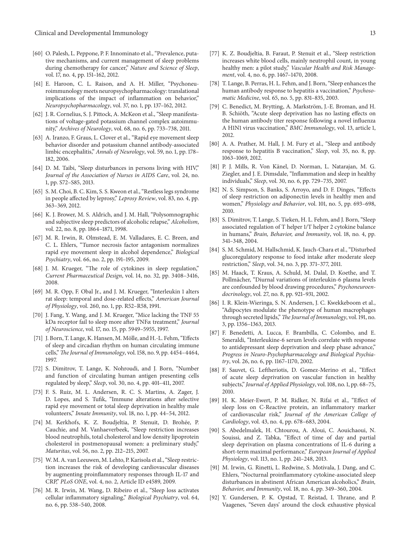- <span id="page-12-0"></span>[60] O. Palesh, L. Peppone, P. F. Innominato et al., "Prevalence, putative mechanisms, and current management of sleep problems during chemotherapy for cancer," *Nature and Science of Sleep*, vol. 17, no. 4, pp. 151–162, 2012.
- <span id="page-12-1"></span>[61] E. Haroon, C. L. Raison, and A. H. Miller, "Psychoneuroimmunology meets neuropsychopharmacology: translational implications of the impact of inflammation on behavior," *Neuropsychopharmacology*, vol. 37, no. 1, pp. 137–162, 2012.
- <span id="page-12-2"></span>[62] J. R. Cornelius, S. J. Pittock, A. McKeon et al., "Sleep manifestations of voltage-gated potassium channel complex autoimmunity," *Archives of Neurology*, vol. 68, no. 6, pp. 733–738, 2011.
- <span id="page-12-3"></span>[63] A. Iranzo, F. Graus, L. Clover et al., "Rapid eye movement sleep behavior disorder and potassium channel antibody-associated limbic encephalitis," *Annals of Neurology*, vol. 59, no. 1, pp. 178– 182, 2006.
- <span id="page-12-4"></span>[64] D. M. Taibi, "Sleep disturbances in persons living with HIV," *Journal of the Association of Nurses in AIDS Care*, vol. 24, no. 1, pp. S72–S85, 2013.
- <span id="page-12-5"></span>[65] S. M. Choi, B. C. Kim, S. S. Kweon et al., "Restless legs syndrome in people affected by leprosy," *Leprosy Review*, vol. 83, no. 4, pp. 363–369, 2012.
- <span id="page-12-6"></span>[66] K. J. Brower, M. S. Aldrich, and J. M. Hall, "Polysomnographic and subjective sleep predictors of alcoholic relapse," *Alcoholism*, vol. 22, no. 8, pp. 1864–1871, 1998.
- <span id="page-12-7"></span>[67] M. R. Irwin, R. Olmstead, E. M. Valladares, E. C. Breen, and C. L. Ehlers, "Tumor necrosis factor antagonism normalizes rapid eye movement sleep in alcohol dependence," *Biological Psychiatry*, vol. 66, no. 2, pp. 191–195, 2009.
- <span id="page-12-8"></span>[68] J. M. Krueger, "The role of cytokines in sleep regulation," *Current Pharmaceutical Design*, vol. 14, no. 32, pp. 3408–3416, 2008.
- <span id="page-12-9"></span>[69] M. R. Opp, F. Obal Jr., and J. M. Krueger, "Interleukin 1 alters rat sleep: temporal and dose-related effects," *American Journal of Physiology*, vol. 260, no. 1, pp. R52–R58, 1991.
- <span id="page-12-10"></span>[70] J. Fang, Y. Wang, and J. M. Krueger, "Mice lacking the TNF 55 kDa receptor fail to sleep more after TNFa treatment," *Journal of Neuroscience*, vol. 17, no. 15, pp. 5949–5955, 1997.
- <span id="page-12-11"></span>[71] J. Born, T. Lange, K. Hansen, M. Mölle, and H.-L. Fehm, "Effects of sleep and circadian rhythm on human circulating immune cells,"*The Journal of Immunology*, vol. 158, no. 9, pp. 4454–4464, 1997.
- <span id="page-12-12"></span>[72] S. Dimitrov, T. Lange, K. Nohroudi, and J. Born, "Number and function of circulating human antigen presenting cells regulated by sleep," *Sleep*, vol. 30, no. 4, pp. 401–411, 2007.
- <span id="page-12-13"></span>[73] F. S. Ruiz, M. L. Andersen, R. C. S. Martins, A. Zager, J. D. Lopes, and S. Tufik, "Immune alterations after selective rapid eye movement or total sleep deprivation in healthy male volunteers," *Innate Immunity*, vol. 18, no. 1, pp. 44–54, 2012.
- <span id="page-12-14"></span>[74] M. Kerkhofs, K. Z. Boudjeltia, P. Stenuit, D. Brohée, P. Cauchie, and M. Vanhaeverbeek, "Sleep restriction increases blood neutrophils, total cholesterol and low density lipoprotein cholesterol in postmenopausal women: a preliminary study," *Maturitas*, vol. 56, no. 2, pp. 212–215, 2007.
- <span id="page-12-15"></span>[75] W. M. A. van Leeuwen, M. Lehto, P. Karisola et al., "Sleep restriction increases the risk of developing cardiovascular diseases by augmenting proinflammatory responses through IL-17 and CRP," *PLoS ONE*, vol. 4, no. 2, Article ID e4589, 2009.
- <span id="page-12-16"></span>[76] M. R. Irwin, M. Wang, D. Ribeiro et al., "Sleep loss activates cellular inflammatory signaling," *Biological Psychiatry*, vol. 64, no. 6, pp. 538–540, 2008.
- <span id="page-12-17"></span>[77] K. Z. Boudjeltia, B. Faraut, P. Stenuit et al., "Sleep restriction increases white blood cells, mainly neutrophil count, in young healthy men: a pilot study," *Vascular Health and Risk Management*, vol. 4, no. 6, pp. 1467–1470, 2008.
- <span id="page-12-18"></span>[78] T. Lange, B. Perras, H. L. Fehm, and J. Born, "Sleep enhances the human antibody response to hepatitis a vaccination," *Psychosomatic Medicine*, vol. 65, no. 5, pp. 831–835, 2003.
- <span id="page-12-20"></span>[79] C. Benedict, M. Brytting, A. Markström, J.-E. Broman, and H. B. Schiöth, "Acute sleep deprivation has no lasting effects on the human antibody titer response following a novel influenza A H1N1 virus vaccination," *BMC Immunology*, vol. 13, article 1, 2012.
- <span id="page-12-19"></span>[80] A. A. Prather, M. Hall, J. M. Fury et al., "Sleep and antibody response to hepatitis B vaccination," *Sleep*, vol. 35, no. 8, pp. 1063–1069, 2012.
- <span id="page-12-21"></span>[81] P. J. Mills, R. Von Känel, D. Norman, L. Natarajan, M. G. Ziegler, and J. E. Dimsdale, "Inflammation and sleep in healthy individuals," *Sleep*, vol. 30, no. 6, pp. 729–735, 2007.
- <span id="page-12-22"></span>[82] N. S. Simpson, S. Banks, S. Arroyo, and D. F. Dinges, "Effects of sleep restriction on adiponectin levels in healthy men and women," *Physiology and Behavior*, vol. 101, no. 5, pp. 693–698, 2010.
- <span id="page-12-23"></span>[83] S. Dimitrov, T. Lange, S. Tieken, H. L. Fehm, and J. Born, "Sleep associated regulation of T helper 1/T helper 2 cytokine balance in humans," *Brain, Behavior, and Immunity*, vol. 18, no. 4, pp. 341–348, 2004.
- <span id="page-12-24"></span>[84] S. M. Schmid, M. Hallschmid, K. Jauch-Chara et al., "Disturbed glucoregulatory response to food intake after moderate sleep restriction," *Sleep*, vol. 34, no. 3, pp. 371–377, 2011.
- <span id="page-12-25"></span>[85] M. Haack, T. Kraus, A. Schuld, M. Dalal, D. Koethe, and T. Pollmächer, "Diurnal variations of interleukin-6 plasma levels are confounded by blood drawing procedures," *Psychoneuroendocrinology*, vol. 27, no. 8, pp. 921–931, 2002.
- <span id="page-12-32"></span>[86] I. R. Klein-Wieringa, S. N. Andersen, J. C. Kwekkeboom et al., "Adipocytes modulate the phenotype of human macrophages through secreted lipids,"*The Journal of Immunology*, vol. 191, no. 3, pp. 1356–1363, 2013.
- <span id="page-12-26"></span>[87] F. Benedetti, A. Lucca, F. Brambilla, C. Colombo, and E. Smeraldi, "Interleukine-6 serum levels correlate with response to antidepressant sleep deprivation and sleep phase advance," *Progress in Neuro-Psychopharmacology and Biological Psychiatry*, vol. 26, no. 6, pp. 1167–1170, 2002.
- <span id="page-12-27"></span>[88] F. Sauvet, G. Leftheriotis, D. Gomez-Merino et al., "Effect of acute sleep deprivation on vascular function in healthy subjects," *Journal of Applied Physiology*, vol. 108, no. 1, pp. 68–75, 2010.
- <span id="page-12-28"></span>[89] H. K. Meier-Ewert, P. M. Ridker, N. Rifai et al., "Effect of sleep loss on C-Reactive protein, an inflammatory marker of cardiovascular risk," *Journal of the American College of Cardiology*, vol. 43, no. 4, pp. 678–683, 2004.
- <span id="page-12-29"></span>[90] S. Abedelmalek, H. Chtourou, A. Aloui, C. Aouichaoui, N. Souissi, and Z. Tabka, "Effect of time of day and partial sleep deprivation on plasma concentrations of IL-6 during a short-term maximal performance," *European Journal of Applied Physiology*, vol. 113, no. 1, pp. 241–248, 2013.
- <span id="page-12-30"></span>[91] M. Irwin, G. Rinetti, L. Redwine, S. Motivala, J. Dang, and C. Ehlers, "Nocturnal proinflammatory cytokine-associated sleep disturbances in abstinent African American alcoholics," *Brain, Behavior, and Immunity*, vol. 18, no. 4, pp. 349–360, 2004.
- <span id="page-12-31"></span>[92] Y. Gundersen, P. K. Opstad, T. Reistad, I. Thrane, and P. Vaagenes, "Seven days' around the clock exhaustive physical